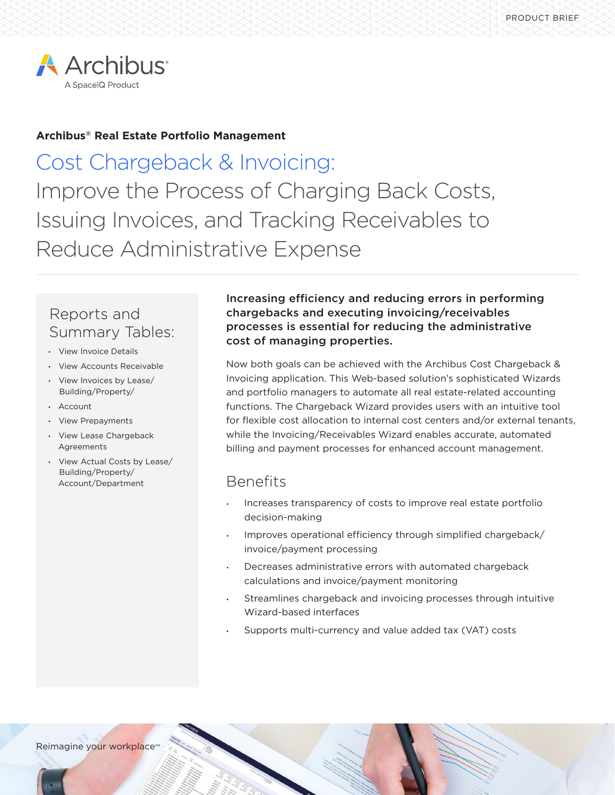

## **Archibus® Real Estate Portfolio Management**

Cost Chargeback & Invoicing: Improve the Process of Charging Back Costs, Issuing Invoices, and Tracking Receivables to Reduce Administrative Expense

# Reports and Summary Tables:

- View Invoice Details
- View Accounts Receivable
- View Invoices by Lease/ Building/Property/
- Account
- View Prepayments
- View Lease Chargeback Agreements
- View Actual Costs by Lease/ Building/Property/ Account/Department

Increasing efficiency and reducing errors in performing chargebacks and executing invoicing/receivables processes is essential for reducing the administrative cost of managing properties.

Now both goals can be achieved with the Archibus Cost Chargeback & Invoicing application. This Web-based solution's sophisticated Wizards and portfolio managers to automate all real estate-related accounting functions. The Chargeback Wizard provides users with an intuitive tool for flexible cost allocation to internal cost centers and/or external tenants, while the Invoicing/Receivables Wizard enables accurate, automated billing and payment processes for enhanced account management.

# Benefits

- Increases transparency of costs to improve real estate portfolio decision-making
- Improves operational efficiency through simplified chargeback/ invoice/payment processing
- Decreases administrative errors with automated chargeback calculations and invoice/payment monitoring
- Streamlines chargeback and invoicing processes through intuitive Wizard-based interfaces
- Supports multi-currency and value added tax (VAT) costs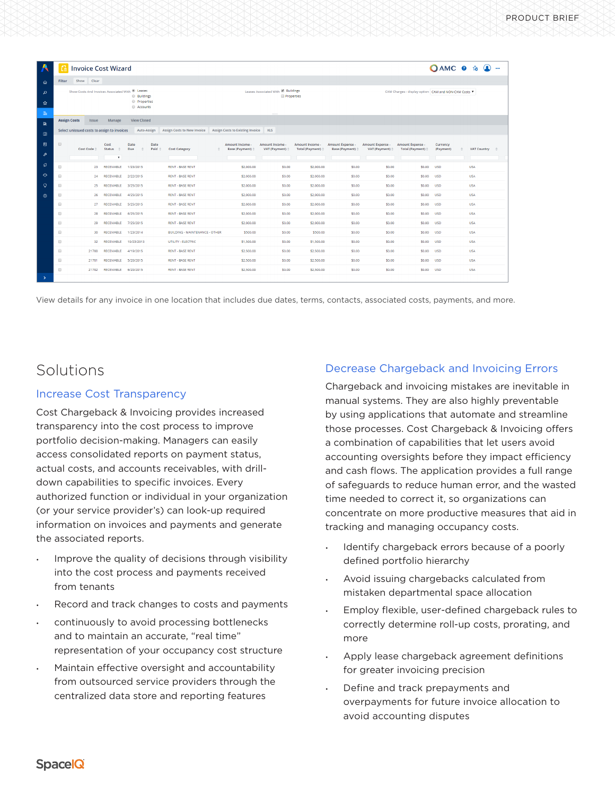| A                   |                                                                                                                   | <b>Invoice Cost Wizard</b>                  |                                      |                    |                                                |                                       |                                                         |                                            |                                                    |                                             |                                               |                                                    | OAMC 0 % ①            |  |                 |  |  |
|---------------------|-------------------------------------------------------------------------------------------------------------------|---------------------------------------------|--------------------------------------|--------------------|------------------------------------------------|---------------------------------------|---------------------------------------------------------|--------------------------------------------|----------------------------------------------------|---------------------------------------------|-----------------------------------------------|----------------------------------------------------|-----------------------|--|-----------------|--|--|
| €                   | <b>Filter</b>                                                                                                     | Show Clear                                  |                                      |                    |                                                |                                       |                                                         |                                            |                                                    |                                             |                                               |                                                    |                       |  |                 |  |  |
| م<br>☆<br>$\rm{Rn}$ | Show Costs And Invoices Associated With <sup>10</sup> Leases<br><b>Buildings</b><br><b>Properties</b><br>Accounts |                                             |                                      |                    |                                                |                                       | Leases Associated With & Buildings<br><b>Properties</b> |                                            |                                                    |                                             |                                               | CAM Charges - display option CAM and NON-CAM Costs |                       |  |                 |  |  |
|                     | <b>Assign Costs</b>                                                                                               | <b>Issue</b>                                | Manage                               | <b>View Closed</b> |                                                |                                       |                                                         |                                            |                                                    |                                             |                                               |                                                    |                       |  |                 |  |  |
| 医                   |                                                                                                                   | Select unissued costs to assign to invoices |                                      | Auto-Assign        |                                                | Assign Costs to New Invoice           | Assign Costs to Existing Invoice XLS                    |                                            |                                                    |                                             |                                               |                                                    |                       |  |                 |  |  |
| 圝                   |                                                                                                                   |                                             |                                      |                    |                                                |                                       |                                                         |                                            |                                                    |                                             |                                               |                                                    |                       |  |                 |  |  |
| 目                   | $\qquad \qquad \qquad \qquad \qquad \qquad \qquad$                                                                | Cost Code <sup><math>\hat{=}</math></sup>   | Cost<br><b>Status</b><br>$\triangle$ | Date<br>Due        | Date<br>Paid $\hat{=}$<br><b>Cost Category</b> |                                       | Amount Income<br>Base (Payment) $\doteq$                | Amount Income<br>VAT (Payment) $\doteqdot$ | Amount Income<br>Total (Payment) $\Leftrightarrow$ | <b>Amount Expense -</b><br>Base (Payment) # | Amount Expense -<br>VAT (Payment) $\doteqdot$ | Amount Expense -<br>Total (Payment) $\doteqdot$    | Currency<br>(Payment) |  | VAT Country = 0 |  |  |
| ₽                   |                                                                                                                   |                                             | $\pmb{\mathrm{v}}$                   |                    |                                                |                                       |                                                         |                                            |                                                    |                                             |                                               |                                                    |                       |  |                 |  |  |
| ø                   | 0                                                                                                                 |                                             | 23 RECEIVABLE                        | 1/23/2015          |                                                | <b>RENT - BASE RENT</b>               | \$2,000.00                                              | \$0.00                                     | \$2,000.00                                         | \$0.00                                      | \$0.00                                        | \$0.00                                             | <b>USD</b>            |  | <b>USA</b>      |  |  |
| $\ddot{\circ}$      | 8                                                                                                                 | 24                                          | <b>RECEIVABLE</b>                    | 2/22/2015          |                                                | <b>RENT - BASE RENT</b>               | \$2,000.00                                              | \$0.00                                     | \$2,000.00                                         | \$0.00                                      | \$0.00                                        | \$0.00                                             | <b>USD</b>            |  | USA.            |  |  |
| $\circ$             | $\qquad \qquad \Box$                                                                                              | 25                                          | RECEIVABLE                           | 3/25/2015          |                                                | <b>RENT - BASE RENT</b>               | \$2,000.00                                              | \$0.00                                     | \$2,000.00                                         | \$0.00                                      | \$0.00                                        | \$0.00                                             | <b>USD</b>            |  | <b>USA</b>      |  |  |
| ;                   | $\qquad \qquad \Box$                                                                                              | 26                                          | <b>RECEIVABLE</b>                    | 4/25/2015          |                                                | <b>RENT - BASE RENT</b>               | \$2,000.00                                              | \$0.00                                     | \$2,000.00                                         | \$0.00                                      | \$0.00                                        | \$0.00                                             | <b>USD</b>            |  | <b>USA</b>      |  |  |
|                     | $\qquad \qquad \Box$                                                                                              | 27                                          | RECEIVABLE                           | 5/25/2015          |                                                | <b>RENT - BASE RENT</b>               | \$2,000.00                                              | \$0.00                                     | \$2,000.00                                         | \$0.00                                      | \$0.00                                        | \$0.00                                             | <b>USD</b>            |  | <b>USA</b>      |  |  |
|                     | $\qquad \qquad \Box$                                                                                              | 28                                          | <b>RECEIVABLE</b>                    | 6/25/2015          |                                                | <b>RENT - BASE RENT</b>               | \$2,000.00                                              | \$0.00                                     | \$2,000.00                                         | \$0.00                                      | \$0.00                                        | \$0.00                                             | <b>USD</b>            |  | <b>USA</b>      |  |  |
|                     |                                                                                                                   | 29                                          | <b>RECEIVABLE</b>                    | 7/25/2015          |                                                | <b>RENT - BASE RENT</b>               | \$2,000.00                                              | \$0.00                                     | \$2,000.00                                         | \$0.00                                      | \$0.00                                        | \$0.00                                             | <b>USD</b>            |  | <b>USA</b>      |  |  |
|                     | $\qquad \qquad \qquad \qquad \qquad \qquad \qquad \qquad \qquad$                                                  | 30                                          | <b>RECEIVABLE</b>                    | 1/23/2014          |                                                | <b>BUILDING - MAINTENANCE - OTHER</b> | \$500.00                                                | \$0.00                                     | \$500.00                                           | \$0.00                                      | \$0.00                                        | \$0.00                                             | <b>USD</b>            |  | <b>USA</b>      |  |  |
|                     | 8                                                                                                                 | 32                                          | <b>RECEIVABLE</b>                    | 10/23/2013         |                                                | UTILITY - ELECTRIC                    | \$1,500,00                                              | \$0.00                                     | \$1,500.00                                         | \$0.00                                      | \$0.00                                        | \$0.00                                             | <b>USD</b>            |  | <b>USA</b>      |  |  |
|                     | $\qquad \qquad \qquad \qquad \qquad \qquad \qquad \qquad \qquad$                                                  | 21780                                       | <b>RECEIVABLE</b>                    | 4/19/2015          |                                                | <b>RENT - BASE RENT</b>               | \$2,500,00                                              | \$0.00                                     | \$2,500.00                                         | \$0.00                                      | \$0.00                                        | \$0,00                                             | <b>USD</b>            |  | <b>USA</b>      |  |  |
|                     | ₿                                                                                                                 | 21781                                       | <b>RECEIVABLE</b>                    | 5/20/2015          |                                                | <b>RENT - BASE RENT</b>               | \$2,500,00                                              | \$0.00                                     | \$2,500.00                                         | \$0.00                                      | \$0.00                                        | \$0.00                                             | <b>USD</b>            |  | USA.            |  |  |
|                     | $\qquad \qquad \Box$                                                                                              | 21782                                       | RECEIVABLE                           | 6/20/2015          |                                                | <b>RENT - BASE RENT</b>               | \$2,500.00                                              | \$0.00                                     | \$2,500.00                                         | \$0.00                                      | \$0.00                                        | \$0.00                                             | <b>USD</b>            |  | <b>USA</b>      |  |  |
| $\rightarrow$       |                                                                                                                   |                                             |                                      |                    |                                                |                                       |                                                         |                                            |                                                    |                                             |                                               |                                                    |                       |  |                 |  |  |

View details for any invoice in one location that includes due dates, terms, contacts, associated costs, payments, and more.

## Solutions

#### Increase Cost Transparency

Cost Chargeback & Invoicing provides increased transparency into the cost process to improve portfolio decision-making. Managers can easily access consolidated reports on payment status, actual costs, and accounts receivables, with drilldown capabilities to specific invoices. Every authorized function or individual in your organization (or your service provider's) can look-up required information on invoices and payments and generate the associated reports.

- Improve the quality of decisions through visibility into the cost process and payments received from tenants
- Record and track changes to costs and payments
- continuously to avoid processing bottlenecks and to maintain an accurate, "real time" representation of your occupancy cost structure
- Maintain effective oversight and accountability from outsourced service providers through the centralized data store and reporting features

### Decrease Chargeback and Invoicing Errors

Chargeback and invoicing mistakes are inevitable in manual systems. They are also highly preventable by using applications that automate and streamline those processes. Cost Chargeback & Invoicing offers a combination of capabilities that let users avoid accounting oversights before they impact efficiency and cash flows. The application provides a full range of safeguards to reduce human error, and the wasted time needed to correct it, so organizations can concentrate on more productive measures that aid in tracking and managing occupancy costs.

- Identify chargeback errors because of a poorly defined portfolio hierarchy
- Avoid issuing chargebacks calculated from mistaken departmental space allocation
- Employ flexible, user-defined chargeback rules to correctly determine roll-up costs, prorating, and more
- Apply lease chargeback agreement definitions for greater invoicing precision
- Define and track prepayments and overpayments for future invoice allocation to avoid accounting disputes